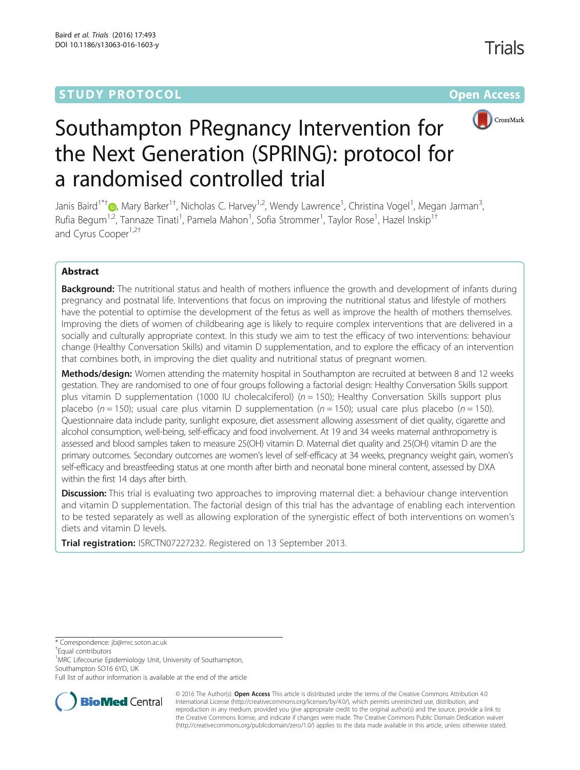# **STUDY PROTOCOL CONSUMING THE RESERVE ACCESS**



# Southampton PRegnancy Intervention for the Next Generation (SPRING): protocol for a randomised controlled trial

Janis Baird<sup>1\*†</sup>®[,](http://orcid.org/0000-0002-4039-4361) Mary Barker<sup>1†</sup>, Nicholas C. Harvey<sup>1,2</sup>, Wendy Lawrence<sup>1</sup>, Christina Vogel<sup>1</sup>, Megan Jarman<sup>3</sup> , Rufia Begum<sup>1,2</sup>, Tannaze Tinati<sup>1</sup>, Pamela Mahon<sup>1</sup>, Sofia Strommer<sup>1</sup>, Taylor Rose<sup>1</sup>, Hazel Inskip<sup>1†</sup> and Cyrus Cooper<sup>1,2+</sup>

# Abstract

**Background:** The nutritional status and health of mothers influence the growth and development of infants during pregnancy and postnatal life. Interventions that focus on improving the nutritional status and lifestyle of mothers have the potential to optimise the development of the fetus as well as improve the health of mothers themselves. Improving the diets of women of childbearing age is likely to require complex interventions that are delivered in a socially and culturally appropriate context. In this study we aim to test the efficacy of two interventions: behaviour change (Healthy Conversation Skills) and vitamin D supplementation, and to explore the efficacy of an intervention that combines both, in improving the diet quality and nutritional status of pregnant women.

Methods/design: Women attending the maternity hospital in Southampton are recruited at between 8 and 12 weeks gestation. They are randomised to one of four groups following a factorial design: Healthy Conversation Skills support plus vitamin D supplementation (1000 IU cholecalciferol) ( $n = 150$ ); Healthy Conversation Skills support plus placebo ( $n = 150$ ); usual care plus vitamin D supplementation ( $n = 150$ ); usual care plus placebo ( $n = 150$ ). Questionnaire data include parity, sunlight exposure, diet assessment allowing assessment of diet quality, cigarette and alcohol consumption, well-being, self-efficacy and food involvement. At 19 and 34 weeks maternal anthropometry is assessed and blood samples taken to measure 25(OH) vitamin D. Maternal diet quality and 25(OH) vitamin D are the primary outcomes. Secondary outcomes are women's level of self-efficacy at 34 weeks, pregnancy weight gain, women's self-efficacy and breastfeeding status at one month after birth and neonatal bone mineral content, assessed by DXA within the first 14 days after birth.

Discussion: This trial is evaluating two approaches to improving maternal diet: a behaviour change intervention and vitamin D supplementation. The factorial design of this trial has the advantage of enabling each intervention to be tested separately as well as allowing exploration of the synergistic effect of both interventions on women's diets and vitamin D levels.

**Trial registration:** [ISRCTN07227232](http://www.isrctn.com/search?q=ISRCTN07227232). Registered on 13 September 2013.

\* Correspondence: [jb@mrc.soton.ac.uk](mailto:jb@mrc.soton.ac.uk) †

Equal contributors

<sup>1</sup>MRC Lifecourse Epidemiology Unit, University of Southampton, Southampton SO16 6YD, UK

Full list of author information is available at the end of the article



© 2016 The Author(s). Open Access This article is distributed under the terms of the Creative Commons Attribution 4.0 International License [\(http://creativecommons.org/licenses/by/4.0/](http://creativecommons.org/licenses/by/4.0/)), which permits unrestricted use, distribution, and reproduction in any medium, provided you give appropriate credit to the original author(s) and the source, provide a link to the Creative Commons license, and indicate if changes were made. The Creative Commons Public Domain Dedication waiver [\(http://creativecommons.org/publicdomain/zero/1.0/](http://creativecommons.org/publicdomain/zero/1.0/)) applies to the data made available in this article, unless otherwise stated.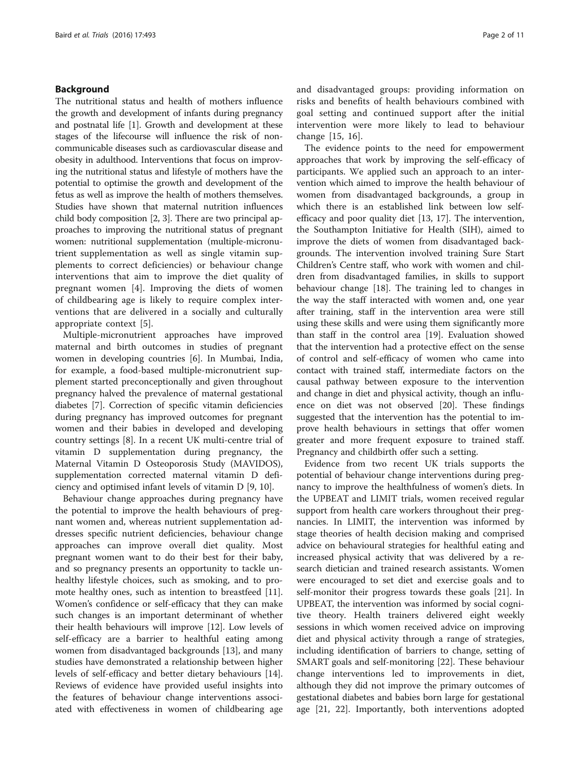#### Background

The nutritional status and health of mothers influence the growth and development of infants during pregnancy and postnatal life [\[1\]](#page-9-0). Growth and development at these stages of the lifecourse will influence the risk of noncommunicable diseases such as cardiovascular disease and obesity in adulthood. Interventions that focus on improving the nutritional status and lifestyle of mothers have the potential to optimise the growth and development of the fetus as well as improve the health of mothers themselves. Studies have shown that maternal nutrition influences child body composition [\[2](#page-9-0), [3\]](#page-9-0). There are two principal approaches to improving the nutritional status of pregnant women: nutritional supplementation (multiple-micronutrient supplementation as well as single vitamin supplements to correct deficiencies) or behaviour change interventions that aim to improve the diet quality of pregnant women [\[4](#page-9-0)]. Improving the diets of women of childbearing age is likely to require complex interventions that are delivered in a socially and culturally appropriate context [[5](#page-9-0)].

Multiple-micronutrient approaches have improved maternal and birth outcomes in studies of pregnant women in developing countries [[6\]](#page-9-0). In Mumbai, India, for example, a food-based multiple-micronutrient supplement started preconceptionally and given throughout pregnancy halved the prevalence of maternal gestational diabetes [\[7](#page-9-0)]. Correction of specific vitamin deficiencies during pregnancy has improved outcomes for pregnant women and their babies in developed and developing country settings [\[8\]](#page-9-0). In a recent UK multi-centre trial of vitamin D supplementation during pregnancy, the Maternal Vitamin D Osteoporosis Study (MAVIDOS), supplementation corrected maternal vitamin D deficiency and optimised infant levels of vitamin D [[9](#page-9-0), [10](#page-9-0)].

Behaviour change approaches during pregnancy have the potential to improve the health behaviours of pregnant women and, whereas nutrient supplementation addresses specific nutrient deficiencies, behaviour change approaches can improve overall diet quality. Most pregnant women want to do their best for their baby, and so pregnancy presents an opportunity to tackle unhealthy lifestyle choices, such as smoking, and to promote healthy ones, such as intention to breastfeed [\[11](#page-9-0)]. Women's confidence or self-efficacy that they can make such changes is an important determinant of whether their health behaviours will improve [[12\]](#page-9-0). Low levels of self-efficacy are a barrier to healthful eating among women from disadvantaged backgrounds [[13\]](#page-9-0), and many studies have demonstrated a relationship between higher levels of self-efficacy and better dietary behaviours [\[14](#page-9-0)]. Reviews of evidence have provided useful insights into the features of behaviour change interventions associated with effectiveness in women of childbearing age and disadvantaged groups: providing information on risks and benefits of health behaviours combined with goal setting and continued support after the initial intervention were more likely to lead to behaviour change [[15](#page-9-0), [16](#page-9-0)].

The evidence points to the need for empowerment approaches that work by improving the self-efficacy of participants. We applied such an approach to an intervention which aimed to improve the health behaviour of women from disadvantaged backgrounds, a group in which there is an established link between low selfefficacy and poor quality diet [[13](#page-9-0), [17\]](#page-9-0). The intervention, the Southampton Initiative for Health (SIH), aimed to improve the diets of women from disadvantaged backgrounds. The intervention involved training Sure Start Children's Centre staff, who work with women and children from disadvantaged families, in skills to support behaviour change [\[18](#page-9-0)]. The training led to changes in the way the staff interacted with women and, one year after training, staff in the intervention area were still using these skills and were using them significantly more than staff in the control area [\[19\]](#page-9-0). Evaluation showed that the intervention had a protective effect on the sense of control and self-efficacy of women who came into contact with trained staff, intermediate factors on the causal pathway between exposure to the intervention and change in diet and physical activity, though an influence on diet was not observed [\[20](#page-9-0)]. These findings suggested that the intervention has the potential to improve health behaviours in settings that offer women greater and more frequent exposure to trained staff. Pregnancy and childbirth offer such a setting.

Evidence from two recent UK trials supports the potential of behaviour change interventions during pregnancy to improve the healthfulness of women's diets. In the UPBEAT and LIMIT trials, women received regular support from health care workers throughout their pregnancies. In LIMIT, the intervention was informed by stage theories of health decision making and comprised advice on behavioural strategies for healthful eating and increased physical activity that was delivered by a research dietician and trained research assistants. Women were encouraged to set diet and exercise goals and to self-monitor their progress towards these goals [[21](#page-9-0)]. In UPBEAT, the intervention was informed by social cognitive theory. Health trainers delivered eight weekly sessions in which women received advice on improving diet and physical activity through a range of strategies, including identification of barriers to change, setting of SMART goals and self-monitoring [\[22](#page-9-0)]. These behaviour change interventions led to improvements in diet, although they did not improve the primary outcomes of gestational diabetes and babies born large for gestational age [\[21, 22\]](#page-9-0). Importantly, both interventions adopted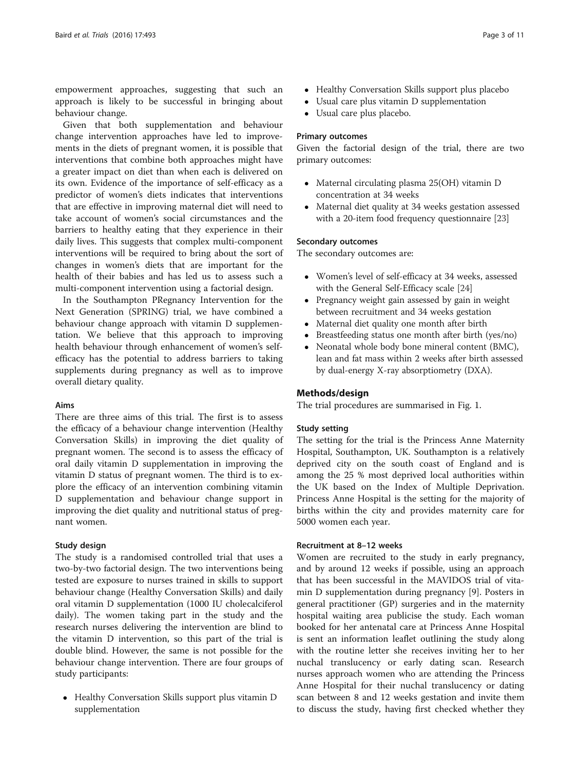empowerment approaches, suggesting that such an approach is likely to be successful in bringing about behaviour change.

Given that both supplementation and behaviour change intervention approaches have led to improvements in the diets of pregnant women, it is possible that interventions that combine both approaches might have a greater impact on diet than when each is delivered on its own. Evidence of the importance of self-efficacy as a predictor of women's diets indicates that interventions that are effective in improving maternal diet will need to take account of women's social circumstances and the barriers to healthy eating that they experience in their daily lives. This suggests that complex multi-component interventions will be required to bring about the sort of changes in women's diets that are important for the health of their babies and has led us to assess such a multi-component intervention using a factorial design.

In the Southampton PRegnancy Intervention for the Next Generation (SPRING) trial, we have combined a behaviour change approach with vitamin D supplementation. We believe that this approach to improving health behaviour through enhancement of women's selfefficacy has the potential to address barriers to taking supplements during pregnancy as well as to improve overall dietary quality.

#### Aims

There are three aims of this trial. The first is to assess the efficacy of a behaviour change intervention (Healthy Conversation Skills) in improving the diet quality of pregnant women. The second is to assess the efficacy of oral daily vitamin D supplementation in improving the vitamin D status of pregnant women. The third is to explore the efficacy of an intervention combining vitamin D supplementation and behaviour change support in improving the diet quality and nutritional status of pregnant women.

#### Study design

The study is a randomised controlled trial that uses a two-by-two factorial design. The two interventions being tested are exposure to nurses trained in skills to support behaviour change (Healthy Conversation Skills) and daily oral vitamin D supplementation (1000 IU cholecalciferol daily). The women taking part in the study and the research nurses delivering the intervention are blind to the vitamin D intervention, so this part of the trial is double blind. However, the same is not possible for the behaviour change intervention. There are four groups of study participants:

• Healthy Conversation Skills support plus vitamin D supplementation

- 
- Healthy Conversation Skills support plus placebo
- Usual care plus vitamin D supplementation
- Usual care plus placebo.

#### Primary outcomes

Given the factorial design of the trial, there are two primary outcomes:

- Maternal circulating plasma 25(OH) vitamin D concentration at 34 weeks
- Maternal diet quality at 34 weeks gestation assessed with a 20-item food frequency questionnaire [\[23](#page-9-0)]

#### Secondary outcomes

The secondary outcomes are:

- Women's level of self-efficacy at 34 weeks, assessed with the General Self-Efficacy scale [[24](#page-9-0)]
- Pregnancy weight gain assessed by gain in weight between recruitment and 34 weeks gestation
- Maternal diet quality one month after birth
- Breastfeeding status one month after birth (yes/no)
- Neonatal whole body bone mineral content (BMC), lean and fat mass within 2 weeks after birth assessed by dual-energy X-ray absorptiometry (DXA).

#### Methods/design

The trial procedures are summarised in Fig. [1](#page-3-0).

#### Study setting

The setting for the trial is the Princess Anne Maternity Hospital, Southampton, UK. Southampton is a relatively deprived city on the south coast of England and is among the 25 % most deprived local authorities within the UK based on the Index of Multiple Deprivation. Princess Anne Hospital is the setting for the majority of births within the city and provides maternity care for 5000 women each year.

#### Recruitment at 8–12 weeks

Women are recruited to the study in early pregnancy, and by around 12 weeks if possible, using an approach that has been successful in the MAVIDOS trial of vitamin D supplementation during pregnancy [\[9](#page-9-0)]. Posters in general practitioner (GP) surgeries and in the maternity hospital waiting area publicise the study. Each woman booked for her antenatal care at Princess Anne Hospital is sent an information leaflet outlining the study along with the routine letter she receives inviting her to her nuchal translucency or early dating scan. Research nurses approach women who are attending the Princess Anne Hospital for their nuchal translucency or dating scan between 8 and 12 weeks gestation and invite them to discuss the study, having first checked whether they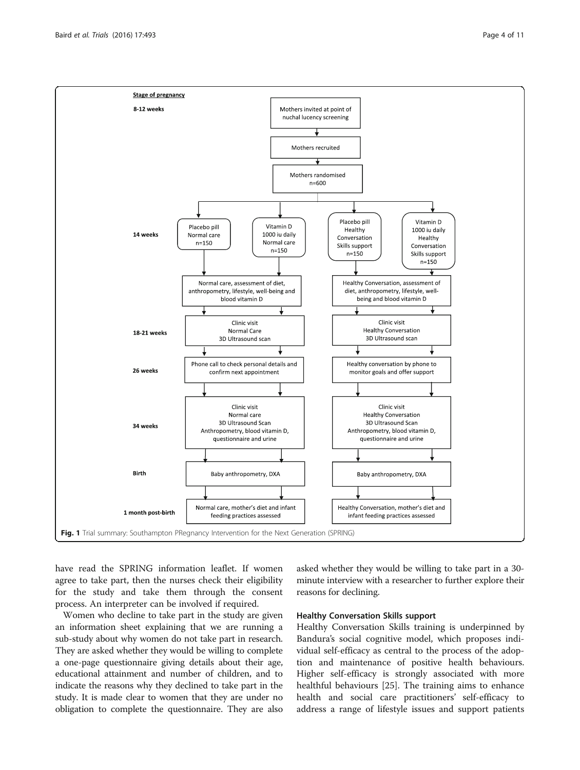have read the SPRING information leaflet. If women agree to take part, then the nurses check their eligibility for the study and take them through the consent process. An interpreter can be involved if required.

Women who decline to take part in the study are given an information sheet explaining that we are running a sub-study about why women do not take part in research. They are asked whether they would be willing to complete a one-page questionnaire giving details about their age, educational attainment and number of children, and to indicate the reasons why they declined to take part in the study. It is made clear to women that they are under no obligation to complete the questionnaire. They are also asked whether they would be willing to take part in a 30 minute interview with a researcher to further explore their reasons for declining.

#### Healthy Conversation Skills support

Healthy Conversation Skills training is underpinned by Bandura's social cognitive model, which proposes individual self-efficacy as central to the process of the adoption and maintenance of positive health behaviours. Higher self-efficacy is strongly associated with more healthful behaviours [\[25](#page-9-0)]. The training aims to enhance health and social care practitioners' self-efficacy to address a range of lifestyle issues and support patients

<span id="page-3-0"></span>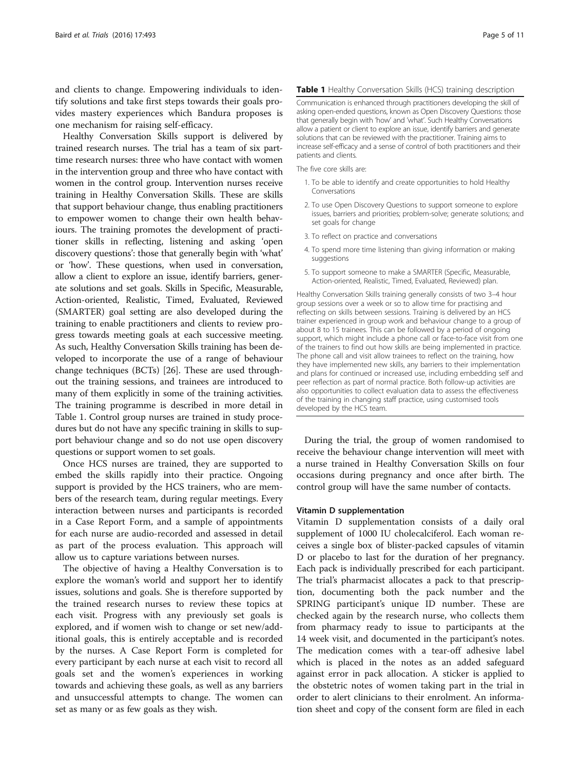and clients to change. Empowering individuals to identify solutions and take first steps towards their goals provides mastery experiences which Bandura proposes is one mechanism for raising self-efficacy.

Healthy Conversation Skills support is delivered by trained research nurses. The trial has a team of six parttime research nurses: three who have contact with women in the intervention group and three who have contact with women in the control group. Intervention nurses receive training in Healthy Conversation Skills. These are skills that support behaviour change, thus enabling practitioners to empower women to change their own health behaviours. The training promotes the development of practitioner skills in reflecting, listening and asking 'open discovery questions': those that generally begin with 'what' or 'how'. These questions, when used in conversation, allow a client to explore an issue, identify barriers, generate solutions and set goals. Skills in Specific, Measurable, Action-oriented, Realistic, Timed, Evaluated, Reviewed (SMARTER) goal setting are also developed during the training to enable practitioners and clients to review progress towards meeting goals at each successive meeting. As such, Healthy Conversation Skills training has been developed to incorporate the use of a range of behaviour change techniques (BCTs) [[26](#page-9-0)]. These are used throughout the training sessions, and trainees are introduced to many of them explicitly in some of the training activities. The training programme is described in more detail in Table 1. Control group nurses are trained in study procedures but do not have any specific training in skills to support behaviour change and so do not use open discovery questions or support women to set goals.

Once HCS nurses are trained, they are supported to embed the skills rapidly into their practice. Ongoing support is provided by the HCS trainers, who are members of the research team, during regular meetings. Every interaction between nurses and participants is recorded in a Case Report Form, and a sample of appointments for each nurse are audio-recorded and assessed in detail as part of the process evaluation. This approach will allow us to capture variations between nurses.

The objective of having a Healthy Conversation is to explore the woman's world and support her to identify issues, solutions and goals. She is therefore supported by the trained research nurses to review these topics at each visit. Progress with any previously set goals is explored, and if women wish to change or set new/additional goals, this is entirely acceptable and is recorded by the nurses. A Case Report Form is completed for every participant by each nurse at each visit to record all goals set and the women's experiences in working towards and achieving these goals, as well as any barriers and unsuccessful attempts to change. The women can set as many or as few goals as they wish.

#### Table 1 Healthy Conversation Skills (HCS) training description

Communication is enhanced through practitioners developing the skill of asking open-ended questions, known as Open Discovery Questions: those that generally begin with 'how' and 'what'. Such Healthy Conversations allow a patient or client to explore an issue, identify barriers and generate solutions that can be reviewed with the practitioner. Training aims to increase self-efficacy and a sense of control of both practitioners and their patients and clients.

The five core skills are:

- 1. To be able to identify and create opportunities to hold Healthy Conversations
- 2. To use Open Discovery Questions to support someone to explore issues, barriers and priorities; problem-solve; generate solutions; and set goals for change
- 3. To reflect on practice and conversations
- 4. To spend more time listening than giving information or making suggestions
- 5. To support someone to make a SMARTER (Specific, Measurable, Action-oriented, Realistic, Timed, Evaluated, Reviewed) plan.

Healthy Conversation Skills training generally consists of two 3–4 hour group sessions over a week or so to allow time for practising and reflecting on skills between sessions. Training is delivered by an HCS trainer experienced in group work and behaviour change to a group of about 8 to 15 trainees. This can be followed by a period of ongoing support, which might include a phone call or face-to-face visit from one of the trainers to find out how skills are being implemented in practice. The phone call and visit allow trainees to reflect on the training, how they have implemented new skills, any barriers to their implementation and plans for continued or increased use, including embedding self and peer reflection as part of normal practice. Both follow-up activities are also opportunities to collect evaluation data to assess the effectiveness of the training in changing staff practice, using customised tools developed by the HCS team.

During the trial, the group of women randomised to receive the behaviour change intervention will meet with a nurse trained in Healthy Conversation Skills on four occasions during pregnancy and once after birth. The control group will have the same number of contacts.

#### Vitamin D supplementation

Vitamin D supplementation consists of a daily oral supplement of 1000 IU cholecalciferol. Each woman receives a single box of blister-packed capsules of vitamin D or placebo to last for the duration of her pregnancy. Each pack is individually prescribed for each participant. The trial's pharmacist allocates a pack to that prescription, documenting both the pack number and the SPRING participant's unique ID number. These are checked again by the research nurse, who collects them from pharmacy ready to issue to participants at the 14 week visit, and documented in the participant's notes. The medication comes with a tear-off adhesive label which is placed in the notes as an added safeguard against error in pack allocation. A sticker is applied to the obstetric notes of women taking part in the trial in order to alert clinicians to their enrolment. An information sheet and copy of the consent form are filed in each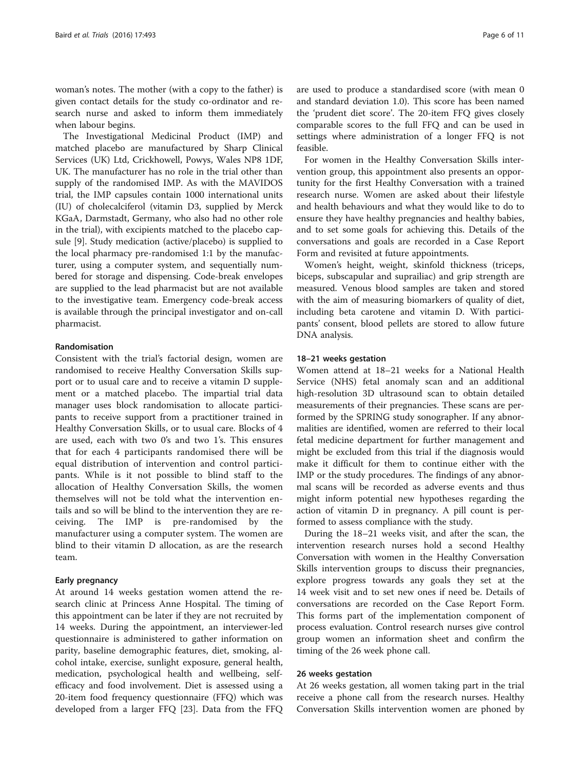woman's notes. The mother (with a copy to the father) is given contact details for the study co-ordinator and research nurse and asked to inform them immediately when labour begins.

The Investigational Medicinal Product (IMP) and matched placebo are manufactured by Sharp Clinical Services (UK) Ltd, Crickhowell, Powys, Wales NP8 1DF, UK. The manufacturer has no role in the trial other than supply of the randomised IMP. As with the MAVIDOS trial, the IMP capsules contain 1000 international units (IU) of cholecalciferol (vitamin D3, supplied by Merck KGaA, Darmstadt, Germany, who also had no other role in the trial), with excipients matched to the placebo capsule [\[9](#page-9-0)]. Study medication (active/placebo) is supplied to the local pharmacy pre-randomised 1:1 by the manufacturer, using a computer system, and sequentially numbered for storage and dispensing. Code-break envelopes are supplied to the lead pharmacist but are not available to the investigative team. Emergency code-break access is available through the principal investigator and on-call pharmacist.

#### Randomisation

Consistent with the trial's factorial design, women are randomised to receive Healthy Conversation Skills support or to usual care and to receive a vitamin D supplement or a matched placebo. The impartial trial data manager uses block randomisation to allocate participants to receive support from a practitioner trained in Healthy Conversation Skills, or to usual care. Blocks of 4 are used, each with two 0's and two 1's. This ensures that for each 4 participants randomised there will be equal distribution of intervention and control participants. While is it not possible to blind staff to the allocation of Healthy Conversation Skills, the women themselves will not be told what the intervention entails and so will be blind to the intervention they are receiving. The IMP is pre-randomised by the manufacturer using a computer system. The women are blind to their vitamin D allocation, as are the research team.

#### Early pregnancy

At around 14 weeks gestation women attend the research clinic at Princess Anne Hospital. The timing of this appointment can be later if they are not recruited by 14 weeks. During the appointment, an interviewer-led questionnaire is administered to gather information on parity, baseline demographic features, diet, smoking, alcohol intake, exercise, sunlight exposure, general health, medication, psychological health and wellbeing, selfefficacy and food involvement. Diet is assessed using a 20-item food frequency questionnaire (FFQ) which was developed from a larger FFQ [\[23](#page-9-0)]. Data from the FFQ are used to produce a standardised score (with mean 0 and standard deviation 1.0). This score has been named the 'prudent diet score'. The 20-item FFQ gives closely comparable scores to the full FFQ and can be used in settings where administration of a longer FFQ is not feasible.

For women in the Healthy Conversation Skills intervention group, this appointment also presents an opportunity for the first Healthy Conversation with a trained research nurse. Women are asked about their lifestyle and health behaviours and what they would like to do to ensure they have healthy pregnancies and healthy babies, and to set some goals for achieving this. Details of the conversations and goals are recorded in a Case Report Form and revisited at future appointments.

Women's height, weight, skinfold thickness (triceps, biceps, subscapular and suprailiac) and grip strength are measured. Venous blood samples are taken and stored with the aim of measuring biomarkers of quality of diet, including beta carotene and vitamin D. With participants' consent, blood pellets are stored to allow future DNA analysis.

#### 18–21 weeks gestation

Women attend at 18–21 weeks for a National Health Service (NHS) fetal anomaly scan and an additional high-resolution 3D ultrasound scan to obtain detailed measurements of their pregnancies. These scans are performed by the SPRING study sonographer. If any abnormalities are identified, women are referred to their local fetal medicine department for further management and might be excluded from this trial if the diagnosis would make it difficult for them to continue either with the IMP or the study procedures. The findings of any abnormal scans will be recorded as adverse events and thus might inform potential new hypotheses regarding the action of vitamin D in pregnancy. A pill count is performed to assess compliance with the study.

During the 18–21 weeks visit, and after the scan, the intervention research nurses hold a second Healthy Conversation with women in the Healthy Conversation Skills intervention groups to discuss their pregnancies, explore progress towards any goals they set at the 14 week visit and to set new ones if need be. Details of conversations are recorded on the Case Report Form. This forms part of the implementation component of process evaluation. Control research nurses give control group women an information sheet and confirm the timing of the 26 week phone call.

#### 26 weeks gestation

At 26 weeks gestation, all women taking part in the trial receive a phone call from the research nurses. Healthy Conversation Skills intervention women are phoned by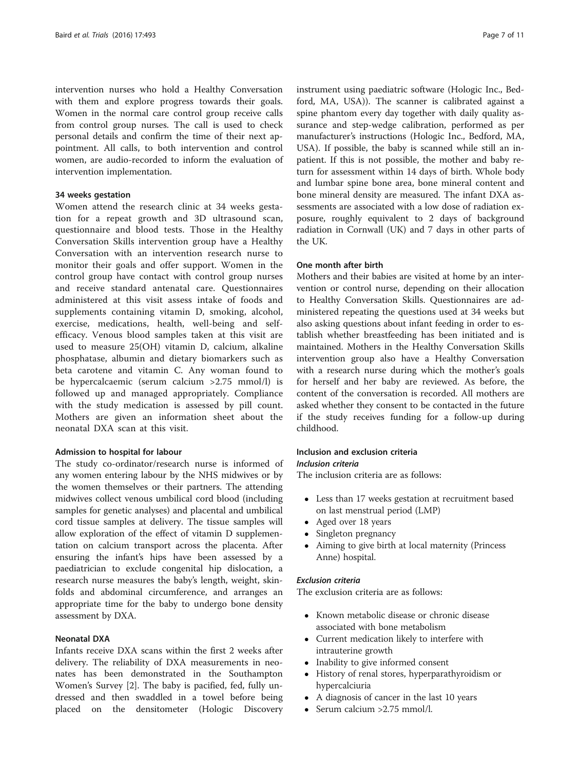intervention nurses who hold a Healthy Conversation with them and explore progress towards their goals. Women in the normal care control group receive calls from control group nurses. The call is used to check personal details and confirm the time of their next appointment. All calls, to both intervention and control women, are audio-recorded to inform the evaluation of intervention implementation.

#### 34 weeks gestation

Women attend the research clinic at 34 weeks gestation for a repeat growth and 3D ultrasound scan, questionnaire and blood tests. Those in the Healthy Conversation Skills intervention group have a Healthy Conversation with an intervention research nurse to monitor their goals and offer support. Women in the control group have contact with control group nurses and receive standard antenatal care. Questionnaires administered at this visit assess intake of foods and supplements containing vitamin D, smoking, alcohol, exercise, medications, health, well-being and selfefficacy. Venous blood samples taken at this visit are used to measure 25(OH) vitamin D, calcium, alkaline phosphatase, albumin and dietary biomarkers such as beta carotene and vitamin C. Any woman found to be hypercalcaemic (serum calcium >2.75 mmol/l) is followed up and managed appropriately. Compliance with the study medication is assessed by pill count. Mothers are given an information sheet about the neonatal DXA scan at this visit.

#### Admission to hospital for labour

The study co-ordinator/research nurse is informed of any women entering labour by the NHS midwives or by the women themselves or their partners. The attending midwives collect venous umbilical cord blood (including samples for genetic analyses) and placental and umbilical cord tissue samples at delivery. The tissue samples will allow exploration of the effect of vitamin D supplementation on calcium transport across the placenta. After ensuring the infant's hips have been assessed by a paediatrician to exclude congenital hip dislocation, a research nurse measures the baby's length, weight, skinfolds and abdominal circumference, and arranges an appropriate time for the baby to undergo bone density assessment by DXA.

#### Neonatal DXA

Infants receive DXA scans within the first 2 weeks after delivery. The reliability of DXA measurements in neonates has been demonstrated in the Southampton Women's Survey [[2\]](#page-9-0). The baby is pacified, fed, fully undressed and then swaddled in a towel before being placed on the densitometer (Hologic Discovery

instrument using paediatric software (Hologic Inc., Bedford, MA, USA)). The scanner is calibrated against a spine phantom every day together with daily quality assurance and step-wedge calibration, performed as per manufacturer's instructions (Hologic Inc., Bedford, MA, USA). If possible, the baby is scanned while still an inpatient. If this is not possible, the mother and baby return for assessment within 14 days of birth. Whole body and lumbar spine bone area, bone mineral content and bone mineral density are measured. The infant DXA assessments are associated with a low dose of radiation exposure, roughly equivalent to 2 days of background radiation in Cornwall (UK) and 7 days in other parts of the UK.

#### One month after birth

Mothers and their babies are visited at home by an intervention or control nurse, depending on their allocation to Healthy Conversation Skills. Questionnaires are administered repeating the questions used at 34 weeks but also asking questions about infant feeding in order to establish whether breastfeeding has been initiated and is maintained. Mothers in the Healthy Conversation Skills intervention group also have a Healthy Conversation with a research nurse during which the mother's goals for herself and her baby are reviewed. As before, the content of the conversation is recorded. All mothers are asked whether they consent to be contacted in the future if the study receives funding for a follow-up during childhood.

#### Inclusion and exclusion criteria Inclusion criteria

The inclusion criteria are as follows:

- Less than 17 weeks gestation at recruitment based on last menstrual period (LMP)
- Aged over 18 years
- Singleton pregnancy
- Aiming to give birth at local maternity (Princess Anne) hospital.

#### Exclusion criteria

The exclusion criteria are as follows:

- Known metabolic disease or chronic disease associated with bone metabolism
- Current medication likely to interfere with intrauterine growth
- Inability to give informed consent
- History of renal stores, hyperparathyroidism or hypercalciuria
- A diagnosis of cancer in the last 10 years
- $\bullet$  Serum calcium > 2.75 mmol/l.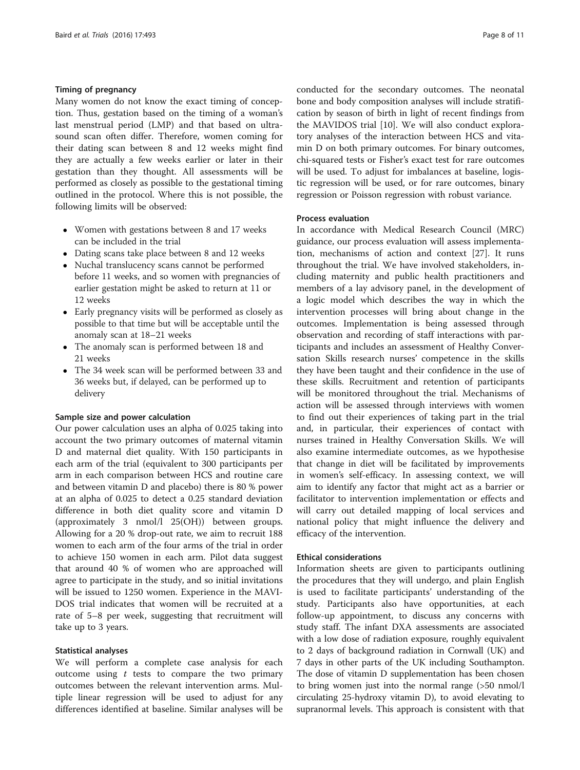#### Timing of pregnancy

Many women do not know the exact timing of conception. Thus, gestation based on the timing of a woman's last menstrual period (LMP) and that based on ultrasound scan often differ. Therefore, women coming for their dating scan between 8 and 12 weeks might find they are actually a few weeks earlier or later in their gestation than they thought. All assessments will be performed as closely as possible to the gestational timing outlined in the protocol. Where this is not possible, the following limits will be observed:

- Women with gestations between 8 and 17 weeks can be included in the trial
- Dating scans take place between 8 and 12 weeks
- Nuchal translucency scans cannot be performed before 11 weeks, and so women with pregnancies of earlier gestation might be asked to return at 11 or 12 weeks
- Early pregnancy visits will be performed as closely as possible to that time but will be acceptable until the anomaly scan at 18–21 weeks
- The anomaly scan is performed between 18 and 21 weeks
- The 34 week scan will be performed between 33 and 36 weeks but, if delayed, can be performed up to delivery

#### Sample size and power calculation

Our power calculation uses an alpha of 0.025 taking into account the two primary outcomes of maternal vitamin D and maternal diet quality. With 150 participants in each arm of the trial (equivalent to 300 participants per arm in each comparison between HCS and routine care and between vitamin D and placebo) there is 80 % power at an alpha of 0.025 to detect a 0.25 standard deviation difference in both diet quality score and vitamin D (approximately 3 nmol/l 25(OH)) between groups. Allowing for a 20 % drop-out rate, we aim to recruit 188 women to each arm of the four arms of the trial in order to achieve 150 women in each arm. Pilot data suggest that around 40 % of women who are approached will agree to participate in the study, and so initial invitations will be issued to 1250 women. Experience in the MAVI-DOS trial indicates that women will be recruited at a rate of 5–8 per week, suggesting that recruitment will take up to 3 years.

#### Statistical analyses

We will perform a complete case analysis for each outcome using  $t$  tests to compare the two primary outcomes between the relevant intervention arms. Multiple linear regression will be used to adjust for any differences identified at baseline. Similar analyses will be conducted for the secondary outcomes. The neonatal bone and body composition analyses will include stratification by season of birth in light of recent findings from the MAVIDOS trial [[10](#page-9-0)]. We will also conduct exploratory analyses of the interaction between HCS and vitamin D on both primary outcomes. For binary outcomes, chi-squared tests or Fisher's exact test for rare outcomes will be used. To adjust for imbalances at baseline, logistic regression will be used, or for rare outcomes, binary regression or Poisson regression with robust variance.

#### Process evaluation

In accordance with Medical Research Council (MRC) guidance, our process evaluation will assess implementation, mechanisms of action and context [[27\]](#page-9-0). It runs throughout the trial. We have involved stakeholders, including maternity and public health practitioners and members of a lay advisory panel, in the development of a logic model which describes the way in which the intervention processes will bring about change in the outcomes. Implementation is being assessed through observation and recording of staff interactions with participants and includes an assessment of Healthy Conversation Skills research nurses' competence in the skills they have been taught and their confidence in the use of these skills. Recruitment and retention of participants will be monitored throughout the trial. Mechanisms of action will be assessed through interviews with women to find out their experiences of taking part in the trial and, in particular, their experiences of contact with nurses trained in Healthy Conversation Skills. We will also examine intermediate outcomes, as we hypothesise that change in diet will be facilitated by improvements in women's self-efficacy. In assessing context, we will aim to identify any factor that might act as a barrier or facilitator to intervention implementation or effects and will carry out detailed mapping of local services and national policy that might influence the delivery and efficacy of the intervention.

#### Ethical considerations

Information sheets are given to participants outlining the procedures that they will undergo, and plain English is used to facilitate participants' understanding of the study. Participants also have opportunities, at each follow-up appointment, to discuss any concerns with study staff. The infant DXA assessments are associated with a low dose of radiation exposure, roughly equivalent to 2 days of background radiation in Cornwall (UK) and 7 days in other parts of the UK including Southampton. The dose of vitamin D supplementation has been chosen to bring women just into the normal range (>50 nmol/l circulating 25-hydroxy vitamin D), to avoid elevating to supranormal levels. This approach is consistent with that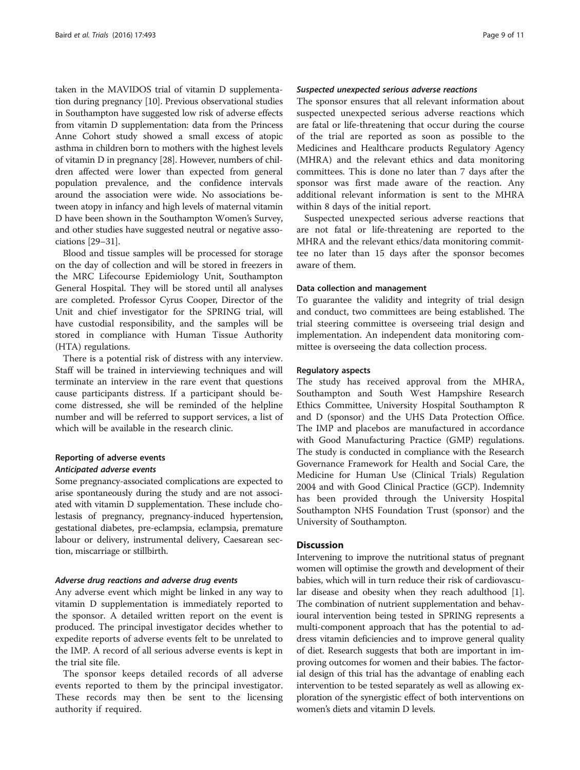taken in the MAVIDOS trial of vitamin D supplementation during pregnancy [[10\]](#page-9-0). Previous observational studies in Southampton have suggested low risk of adverse effects from vitamin D supplementation: data from the Princess Anne Cohort study showed a small excess of atopic asthma in children born to mothers with the highest levels of vitamin D in pregnancy [\[28\]](#page-9-0). However, numbers of children affected were lower than expected from general population prevalence, and the confidence intervals around the association were wide. No associations between atopy in infancy and high levels of maternal vitamin D have been shown in the Southampton Women's Survey, and other studies have suggested neutral or negative associations [\[29](#page-10-0)–[31](#page-10-0)].

Blood and tissue samples will be processed for storage on the day of collection and will be stored in freezers in the MRC Lifecourse Epidemiology Unit, Southampton General Hospital. They will be stored until all analyses are completed. Professor Cyrus Cooper, Director of the Unit and chief investigator for the SPRING trial, will have custodial responsibility, and the samples will be stored in compliance with Human Tissue Authority (HTA) regulations.

There is a potential risk of distress with any interview. Staff will be trained in interviewing techniques and will terminate an interview in the rare event that questions cause participants distress. If a participant should become distressed, she will be reminded of the helpline number and will be referred to support services, a list of which will be available in the research clinic.

### Reporting of adverse events Anticipated adverse events

Some pregnancy-associated complications are expected to arise spontaneously during the study and are not associated with vitamin D supplementation. These include cholestasis of pregnancy, pregnancy-induced hypertension, gestational diabetes, pre-eclampsia, eclampsia, premature labour or delivery, instrumental delivery, Caesarean section, miscarriage or stillbirth.

#### Adverse drug reactions and adverse drug events

Any adverse event which might be linked in any way to vitamin D supplementation is immediately reported to the sponsor. A detailed written report on the event is produced. The principal investigator decides whether to expedite reports of adverse events felt to be unrelated to the IMP. A record of all serious adverse events is kept in the trial site file.

The sponsor keeps detailed records of all adverse events reported to them by the principal investigator. These records may then be sent to the licensing authority if required.

#### Suspected unexpected serious adverse reactions

The sponsor ensures that all relevant information about suspected unexpected serious adverse reactions which are fatal or life-threatening that occur during the course of the trial are reported as soon as possible to the Medicines and Healthcare products Regulatory Agency (MHRA) and the relevant ethics and data monitoring committees. This is done no later than 7 days after the sponsor was first made aware of the reaction. Any additional relevant information is sent to the MHRA within 8 days of the initial report.

Suspected unexpected serious adverse reactions that are not fatal or life-threatening are reported to the MHRA and the relevant ethics/data monitoring committee no later than 15 days after the sponsor becomes aware of them.

#### Data collection and management

To guarantee the validity and integrity of trial design and conduct, two committees are being established. The trial steering committee is overseeing trial design and implementation. An independent data monitoring committee is overseeing the data collection process.

#### Regulatory aspects

The study has received approval from the MHRA, Southampton and South West Hampshire Research Ethics Committee, University Hospital Southampton R and D (sponsor) and the UHS Data Protection Office. The IMP and placebos are manufactured in accordance with Good Manufacturing Practice (GMP) regulations. The study is conducted in compliance with the Research Governance Framework for Health and Social Care, the Medicine for Human Use (Clinical Trials) Regulation 2004 and with Good Clinical Practice (GCP). Indemnity has been provided through the University Hospital Southampton NHS Foundation Trust (sponsor) and the University of Southampton.

#### **Discussion**

Intervening to improve the nutritional status of pregnant women will optimise the growth and development of their babies, which will in turn reduce their risk of cardiovascular disease and obesity when they reach adulthood [[1](#page-9-0)]. The combination of nutrient supplementation and behavioural intervention being tested in SPRING represents a multi-component approach that has the potential to address vitamin deficiencies and to improve general quality of diet. Research suggests that both are important in improving outcomes for women and their babies. The factorial design of this trial has the advantage of enabling each intervention to be tested separately as well as allowing exploration of the synergistic effect of both interventions on women's diets and vitamin D levels.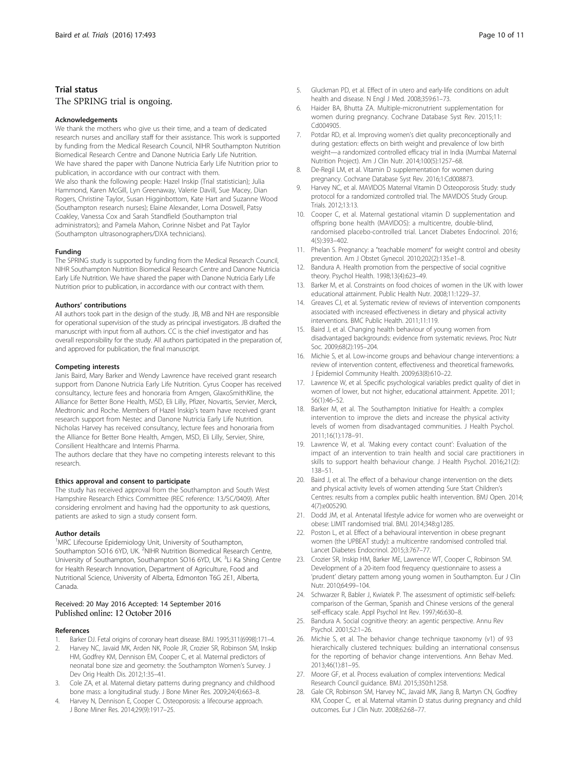#### <span id="page-9-0"></span>Trial status

## The SPRING trial is ongoing.

#### Acknowledgements

We thank the mothers who give us their time, and a team of dedicated research nurses and ancillary staff for their assistance. This work is supported by funding from the Medical Research Council, NIHR Southampton Nutrition Biomedical Research Centre and Danone Nutricia Early Life Nutrition. We have shared the paper with Danone Nutricia Early Life Nutrition prior to publication, in accordance with our contract with them. We also thank the following people: Hazel Inskip (Trial statistician); Julia Hammond, Karen McGill, Lyn Greenaway, Valerie Davill, Sue Macey, Dian Rogers, Christine Taylor, Susan Higginbottom, Kate Hart and Suzanne Wood (Southampton research nurses); Elaine Alexander, Lorna Doswell, Patsy Coakley, Vanessa Cox and Sarah Standfield (Southampton trial administrators); and Pamela Mahon, Corinne Nisbet and Pat Taylor (Southampton ultrasonographers/DXA technicians).

#### Funding

The SPRING study is supported by funding from the Medical Research Council, NIHR Southampton Nutrition Biomedical Research Centre and Danone Nutricia Early Life Nutrition. We have shared the paper with Danone Nutricia Early Life Nutrition prior to publication, in accordance with our contract with them.

#### Authors' contributions

All authors took part in the design of the study. JB, MB and NH are responsible for operational supervision of the study as principal investigators. JB drafted the manuscript with input from all authors. CC is the chief investigator and has overall responsibility for the study. All authors participated in the preparation of, and approved for publication, the final manuscript.

#### Competing interests

Janis Baird, Mary Barker and Wendy Lawrence have received grant research support from Danone Nutricia Early Life Nutrition. Cyrus Cooper has received consultancy, lecture fees and honoraria from Amgen, GlaxoSmithKline, the Alliance for Better Bone Health, MSD, Eli Lilly, Pfizer, Novartis, Servier, Merck, Medtronic and Roche. Members of Hazel Inskip's team have received grant research support from Nestec and Danone Nutricia Early Life Nutrition. Nicholas Harvey has received consultancy, lecture fees and honoraria from the Alliance for Better Bone Health, Amgen, MSD, Eli Lilly, Servier, Shire, Consilient Healthcare and Internis Pharma.

The authors declare that they have no competing interests relevant to this research.

#### Ethics approval and consent to participate

The study has received approval from the Southampton and South West Hampshire Research Ethics Committee (REC reference: 13/SC/0409). After considering enrolment and having had the opportunity to ask questions, patients are asked to sign a study consent form.

#### Author details

<sup>1</sup>MRC Lifecourse Epidemiology Unit, University of Southampton, Southampton SO16 6YD, UK. <sup>2</sup>NIHR Nutrition Biomedical Research Centre, University of Southampton, Southampton SO16 6YD, UK. <sup>3</sup>Li Ka Shing Centre for Health Research Innovation, Department of Agriculture, Food and Nutritional Science, University of Alberta, Edmonton T6G 2E1, Alberta, Canada.

#### Received: 20 May 2016 Accepted: 14 September 2016 Published online: 12 October 2016

#### References

- 1. Barker DJ. Fetal origins of coronary heart disease. BMJ. 1995;311(6998):171–4.
- 2. Harvey NC, Javaid MK, Arden NK, Poole JR, Crozier SR, Robinson SM, Inskip HM, Godfrey KM, Dennison EM, Cooper C, et al. Maternal predictors of neonatal bone size and geometry: the Southampton Women's Survey. J Dev Orig Health Dis. 2012;1:35–41.
- 3. Cole ZA, et al. Maternal dietary patterns during pregnancy and childhood bone mass: a longitudinal study. J Bone Miner Res. 2009;24(4):663–8.
- 4. Harvey N, Dennison E, Cooper C. Osteoporosis: a lifecourse approach. J Bone Miner Res. 2014;29(9):1917–25.
- 5. Gluckman PD, et al. Effect of in utero and early-life conditions on adult health and disease. N Engl J Med. 2008;359:61–73.
- 6. Haider BA, Bhutta ZA. Multiple-micronutrient supplementation for women during pregnancy. Cochrane Database Syst Rev. 2015;11: Cd004905.
- 7. Potdar RD, et al. Improving women's diet quality preconceptionally and during gestation: effects on birth weight and prevalence of low birth weight—a randomized controlled efficacy trial in India (Mumbai Maternal Nutrition Project). Am J Clin Nutr. 2014;100(5):1257–68.
- 8. De-Regil LM, et al. Vitamin D supplementation for women during pregnancy. Cochrane Database Syst Rev. 2016;1:Cd008873.
- 9. Harvey NC, et al. MAVIDOS Maternal Vitamin D Osteoporosis Study: study protocol for a randomized controlled trial. The MAVIDOS Study Group. Trials. 2012;13:13.
- 10. Cooper C, et al. Maternal gestational vitamin D supplementation and offspring bone health (MAVIDOS): a multicentre, double-blind, randomised placebo-controlled trial. Lancet Diabetes Endocrinol. 2016; 4(5):393–402.
- 11. Phelan S. Pregnancy: a "teachable moment" for weight control and obesity prevention. Am J Obstet Gynecol. 2010;202(2):135.e1–8.
- 12. Bandura A. Health promotion from the perspective of social cognitive theory. Psychol Health. 1998;13(4):623–49.
- 13. Barker M, et al. Constraints on food choices of women in the UK with lower educational attainment. Public Health Nutr. 2008;11:1229–37.
- 14. Greaves CJ, et al. Systematic review of reviews of intervention components associated with increased effectiveness in dietary and physical activity interventions. BMC Public Health. 2011;11:119.
- 15. Baird J, et al. Changing health behaviour of young women from disadvantaged backgrounds: evidence from systematic reviews. Proc Nutr Soc. 2009;68(2):195–204.
- 16. Michie S, et al. Low-income groups and behaviour change interventions: a review of intervention content, effectiveness and theoretical frameworks. J Epidemiol Community Health. 2009;63(8):610–22.
- 17. Lawrence W, et al. Specific psychological variables predict quality of diet in women of lower, but not higher, educational attainment. Appetite. 2011; 56(1):46–52.
- 18. Barker M, et al. The Southampton Initiative for Health: a complex intervention to improve the diets and increase the physical activity levels of women from disadvantaged communities. J Health Psychol. 2011;16(1):178–91.
- 19. Lawrence W, et al. 'Making every contact count': Evaluation of the impact of an intervention to train health and social care practitioners in skills to support health behaviour change. J Health Psychol. 2016;21(2): 138–51.
- 20. Baird J, et al. The effect of a behaviour change intervention on the diets and physical activity levels of women attending Sure Start Children's Centres: results from a complex public health intervention. BMJ Open. 2014; 4(7):e005290.
- 21. Dodd JM, et al. Antenatal lifestyle advice for women who are overweight or obese: LIMIT randomised trial. BMJ. 2014;348:g1285.
- 22. Poston L, et al. Effect of a behavioural intervention in obese pregnant women (the UPBEAT study): a multicentre randomised controlled trial. Lancet Diabetes Endocrinol. 2015;3:767–77.
- 23. Crozier SR, Inskip HM, Barker ME, Lawrence WT, Cooper C, Robinson SM. Development of a 20-item food frequency questionnaire to assess a 'prudent' dietary pattern among young women in Southampton. Eur J Clin Nutr. 2010;64:99–104.
- 24. Schwarzer R, Babler J, Kwiatek P. The assessment of optimistic self-beliefs: comparison of the German, Spanish and Chinese versions of the general self-efficacy scale. Appl Psychol Int Rev. 1997;46:630–8.
- 25. Bandura A. Social cognitive theory: an agentic perspective. Annu Rev Psychol. 2001;52:1–26.
- 26. Michie S, et al. The behavior change technique taxonomy (v1) of 93 hierarchically clustered techniques: building an international consensus for the reporting of behavior change interventions. Ann Behav Med. 2013;46(1):81–95.
- 27. Moore GF, et al. Process evaluation of complex interventions: Medical Research Council guidance. BMJ. 2015;350:h1258.
- 28. Gale CR, Robinson SM, Harvey NC, Javaid MK, Jiang B, Martyn CN, Godfrey KM, Cooper C, et al. Maternal vitamin D status during pregnancy and child outcomes. Eur J Clin Nutr. 2008;62:68–77.